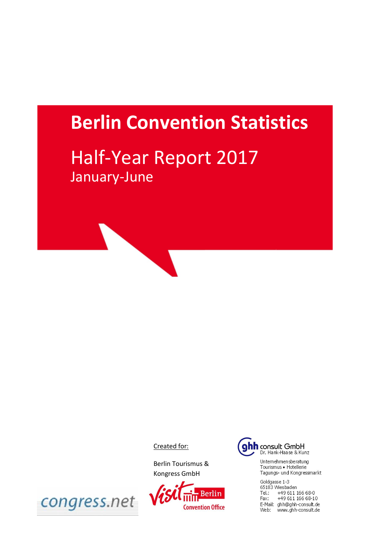# **Berlin Convention Statistics**

# Half-Year Report 2017 January-June

Created for:

Berlin Tourismus & Kongress GmbH





Unternehmensberatung Tourismus · Hotellerie Tagungs- und Kongressmarkt

Goldgasse 1-3 65183 Wiesbaden Tel.: +49 611 166 68-0<br>Fax: +49 611 166 68-0 E-Mail: ghh@ghh-consult.de Web: www.ghh-consult.de

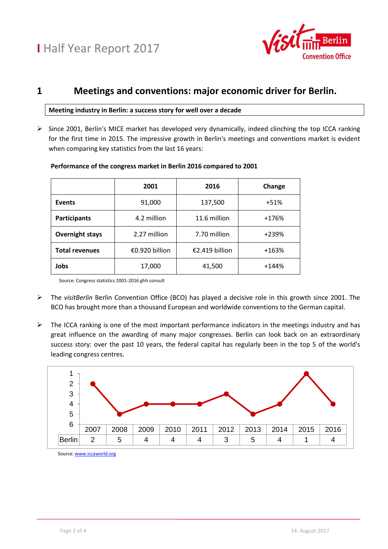

### **1 Meetings and conventions: major economic driver for Berlin.**

#### **Meeting industry in Berlin: a success story for well over a decade**

 $\triangleright$  Since 2001, Berlin's MICE market has developed very dynamically, indeed clinching the top ICCA ranking for the first time in 2015. The impressive growth in Berlin's meetings and conventions market is evident when comparing key statistics from the last 16 years:

|                        | 2001           | 2016           | Change  |
|------------------------|----------------|----------------|---------|
| <b>Events</b>          | 91,000         | 137,500        | $+51%$  |
| <b>Participants</b>    | 4.2 million    | 11.6 million   | +176%   |
| <b>Overnight stays</b> | 2.27 million   | 7.70 million   | +239%   |
| <b>Total revenues</b>  | €0.920 billion | €2.419 billion | $+163%$ |
| Jobs                   | 17,000         | 41,500         | $+144%$ |

#### **Performance of the congress market in Berlin 2016 compared to 2001**

Source: Congress statistics 2001-2016 ghh consult

- The *visitBerlin* Berlin Convention Office (BCO) has played a decisive role in this growth since 2001. The BCO has brought more than a thousand European and worldwide conventions to the German capital.
- $\triangleright$  The ICCA ranking is one of the most important performance indicators in the meetings industry and has great influence on the awarding of many major congresses. Berlin can look back on an extraordinary success story: over the past 10 years, the federal capital has regularly been in the top 5 of the world's leading congress centres.



Source[: www.iccaworld.org](http://www.iccaworld.org/)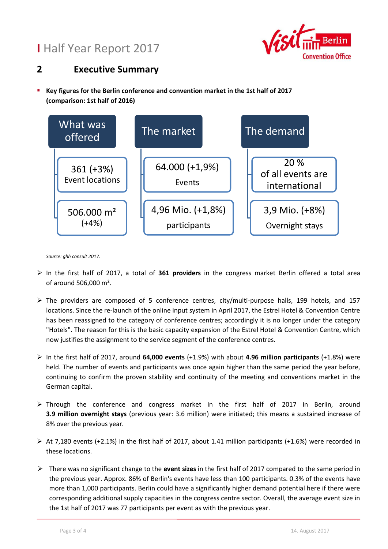## **I** Half Year Report 2017



### **2 Executive Summary**

 **Key figures for the Berlin conference and convention market in the 1st half of 2017 (comparison: 1st half of 2016)**



*Source: ghh consult 2017.*

- In the first half of 2017, a total of **361 providers** in the congress market Berlin offered a total area of around 506,000 m².
- The providers are composed of 5 conference centres, city/multi-purpose halls, 199 hotels, and 157 locations. Since the re-launch of the online input system in April 2017, the Estrel Hotel & Convention Centre has been reassigned to the category of conference centres; accordingly it is no longer under the category "Hotels". The reason for this is the basic capacity expansion of the Estrel Hotel & Convention Centre, which now justifies the assignment to the service segment of the conference centres.
- In the first half of 2017, around **64,000 events** (+1.9%) with about **4.96 million participants** (+1.8%) were held. The number of events and participants was once again higher than the same period the year before, continuing to confirm the proven stability and continuity of the meeting and conventions market in the German capital.
- Through the conference and congress market in the first half of 2017 in Berlin, around **3.9 million overnight stays** (previous year: 3.6 million) were initiated; this means a sustained increase of 8% over the previous year.
- $\triangleright$  At 7,180 events (+2.1%) in the first half of 2017, about 1.41 million participants (+1.6%) were recorded in these locations.
- There was no significant change to the **event sizes** in the first half of 2017 compared to the same period in the previous year. Approx. 86% of Berlin's events have less than 100 participants. 0.3% of the events have more than 1,000 participants. Berlin could have a significantly higher demand potential here if there were corresponding additional supply capacities in the congress centre sector. Overall, the average event size in the 1st half of 2017 was 77 participants per event as with the previous year.